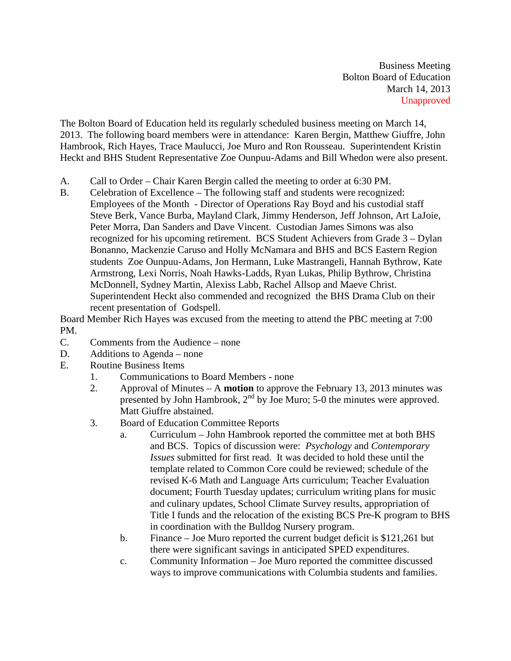Business Meeting Bolton Board of Education March 14, 2013 Unapproved

The Bolton Board of Education held its regularly scheduled business meeting on March 14, 2013. The following board members were in attendance: Karen Bergin, Matthew Giuffre, John Hambrook, Rich Hayes, Trace Maulucci, Joe Muro and Ron Rousseau. Superintendent Kristin Heckt and BHS Student Representative Zoe Ounpuu-Adams and Bill Whedon were also present.

- A. Call to Order Chair Karen Bergin called the meeting to order at 6:30 PM.
- B. Celebration of Excellence The following staff and students were recognized: Employees of the Month - Director of Operations Ray Boyd and his custodial staff Steve Berk, Vance Burba, Mayland Clark, Jimmy Henderson, Jeff Johnson, Art LaJoie, Peter Morra, Dan Sanders and Dave Vincent. Custodian James Simons was also recognized for his upcoming retirement. BCS Student Achievers from Grade 3 – Dylan Bonanno, Mackenzie Caruso and Holly McNamara and BHS and BCS Eastern Region students Zoe Ounpuu-Adams, Jon Hermann, Luke Mastrangeli, Hannah Bythrow, Kate Armstrong, Lexi Norris, Noah Hawks-Ladds, Ryan Lukas, Philip Bythrow, Christina McDonnell, Sydney Martin, Alexiss Labb, Rachel Allsop and Maeve Christ. Superintendent Heckt also commended and recognized the BHS Drama Club on their recent presentation of Godspell.

Board Member Rich Hayes was excused from the meeting to attend the PBC meeting at 7:00 PM.

- C. Comments from the Audience none
- D. Additions to Agenda none
- E. Routine Business Items
	- 1. Communications to Board Members none
	- 2. Approval of Minutes A **motion** to approve the February 13, 2013 minutes was presented by John Hambrook,  $2<sup>nd</sup>$  by Joe Muro; 5-0 the minutes were approved. Matt Giuffre abstained.
	- 3. Board of Education Committee Reports
		- a. Curriculum John Hambrook reported the committee met at both BHS and BCS. Topics of discussion were: *Psychology* and *Contemporary Issues* submitted for first read. It was decided to hold these until the template related to Common Core could be reviewed; schedule of the revised K-6 Math and Language Arts curriculum; Teacher Evaluation document; Fourth Tuesday updates; curriculum writing plans for music and culinary updates, School Climate Survey results, appropriation of Title I funds and the relocation of the existing BCS Pre-K program to BHS in coordination with the Bulldog Nursery program.
		- b. Finance Joe Muro reported the current budget deficit is \$121,261 but there were significant savings in anticipated SPED expenditures.
		- c. Community Information Joe Muro reported the committee discussed ways to improve communications with Columbia students and families.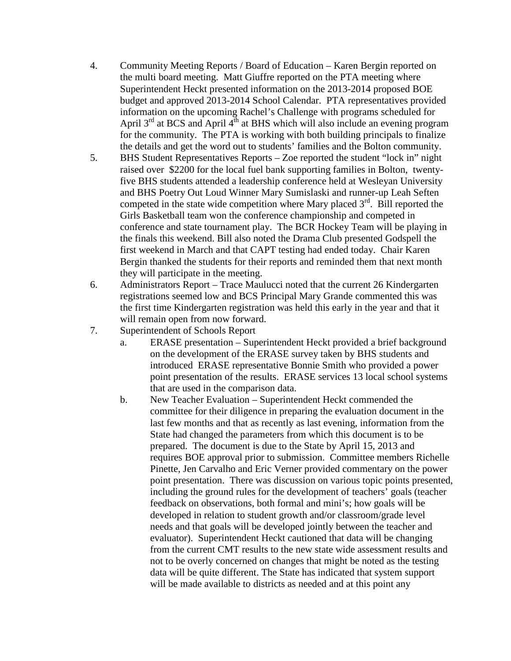- 4. Community Meeting Reports / Board of Education Karen Bergin reported on the multi board meeting. Matt Giuffre reported on the PTA meeting where Superintendent Heckt presented information on the 2013-2014 proposed BOE budget and approved 2013-2014 School Calendar. PTA representatives provided information on the upcoming Rachel's Challenge with programs scheduled for April  $3<sup>rd</sup>$  at BCS and April  $4<sup>th</sup>$  at BHS which will also include an evening program for the community. The PTA is working with both building principals to finalize the details and get the word out to students' families and the Bolton community.
- 5. BHS Student Representatives Reports Zoe reported the student "lock in" night raised over \$2200 for the local fuel bank supporting families in Bolton, twentyfive BHS students attended a leadership conference held at Wesleyan University and BHS Poetry Out Loud Winner Mary Sumislaski and runner-up Leah Seften competed in the state wide competition where Mary placed  $3<sup>rd</sup>$ . Bill reported the Girls Basketball team won the conference championship and competed in conference and state tournament play. The BCR Hockey Team will be playing in the finals this weekend. Bill also noted the Drama Club presented Godspell the first weekend in March and that CAPT testing had ended today. Chair Karen Bergin thanked the students for their reports and reminded them that next month they will participate in the meeting.
- 6. Administrators Report Trace Maulucci noted that the current 26 Kindergarten registrations seemed low and BCS Principal Mary Grande commented this was the first time Kindergarten registration was held this early in the year and that it will remain open from now forward.
- 7. Superintendent of Schools Report
	- a. ERASE presentation Superintendent Heckt provided a brief background on the development of the ERASE survey taken by BHS students and introduced ERASE representative Bonnie Smith who provided a power point presentation of the results. ERASE services 13 local school systems that are used in the comparison data.
	- b. New Teacher Evaluation Superintendent Heckt commended the committee for their diligence in preparing the evaluation document in the last few months and that as recently as last evening, information from the State had changed the parameters from which this document is to be prepared. The document is due to the State by April 15, 2013 and requires BOE approval prior to submission. Committee members Richelle Pinette, Jen Carvalho and Eric Verner provided commentary on the power point presentation. There was discussion on various topic points presented, including the ground rules for the development of teachers' goals (teacher feedback on observations, both formal and mini's; how goals will be developed in relation to student growth and/or classroom/grade level needs and that goals will be developed jointly between the teacher and evaluator). Superintendent Heckt cautioned that data will be changing from the current CMT results to the new state wide assessment results and not to be overly concerned on changes that might be noted as the testing data will be quite different. The State has indicated that system support will be made available to districts as needed and at this point any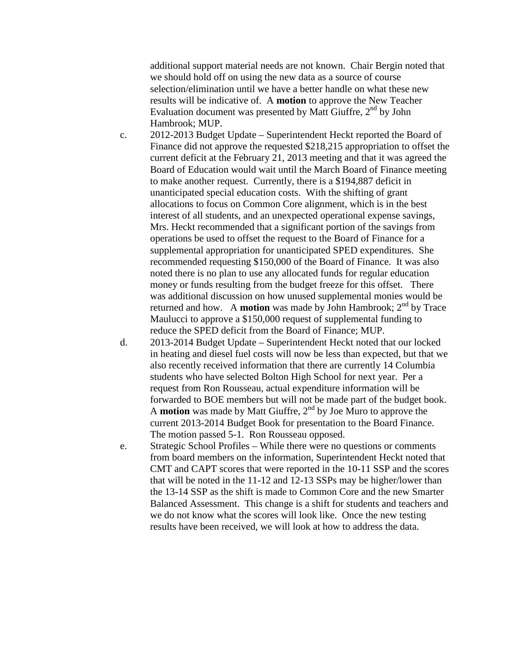additional support material needs are not known. Chair Bergin noted that we should hold off on using the new data as a source of course selection/elimination until we have a better handle on what these new results will be indicative of. A **motion** to approve the New Teacher Evaluation document was presented by Matt Giuffre,  $2<sup>nd</sup>$  by John Hambrook; MUP.

- c. 2012-2013 Budget Update Superintendent Heckt reported the Board of Finance did not approve the requested \$218,215 appropriation to offset the current deficit at the February 21, 2013 meeting and that it was agreed the Board of Education would wait until the March Board of Finance meeting to make another request. Currently, there is a \$194,887 deficit in unanticipated special education costs. With the shifting of grant allocations to focus on Common Core alignment, which is in the best interest of all students, and an unexpected operational expense savings, Mrs. Heckt recommended that a significant portion of the savings from operations be used to offset the request to the Board of Finance for a supplemental appropriation for unanticipated SPED expenditures. She recommended requesting \$150,000 of the Board of Finance. It was also noted there is no plan to use any allocated funds for regular education money or funds resulting from the budget freeze for this offset. There was additional discussion on how unused supplemental monies would be returned and how. A **motion** was made by John Hambrook;  $2<sup>nd</sup>$  by Trace Maulucci to approve a \$150,000 request of supplemental funding to reduce the SPED deficit from the Board of Finance; MUP.
- d. 2013-2014 Budget Update Superintendent Heckt noted that our locked in heating and diesel fuel costs will now be less than expected, but that we also recently received information that there are currently 14 Columbia students who have selected Bolton High School for next year. Per a request from Ron Rousseau, actual expenditure information will be forwarded to BOE members but will not be made part of the budget book. A **motion** was made by Matt Giuffre, 2nd by Joe Muro to approve the current 2013-2014 Budget Book for presentation to the Board Finance. The motion passed 5-1. Ron Rousseau opposed.
- e. Strategic School Profiles While there were no questions or comments from board members on the information, Superintendent Heckt noted that CMT and CAPT scores that were reported in the 10-11 SSP and the scores that will be noted in the 11-12 and 12-13 SSPs may be higher/lower than the 13-14 SSP as the shift is made to Common Core and the new Smarter Balanced Assessment. This change is a shift for students and teachers and we do not know what the scores will look like. Once the new testing results have been received, we will look at how to address the data.